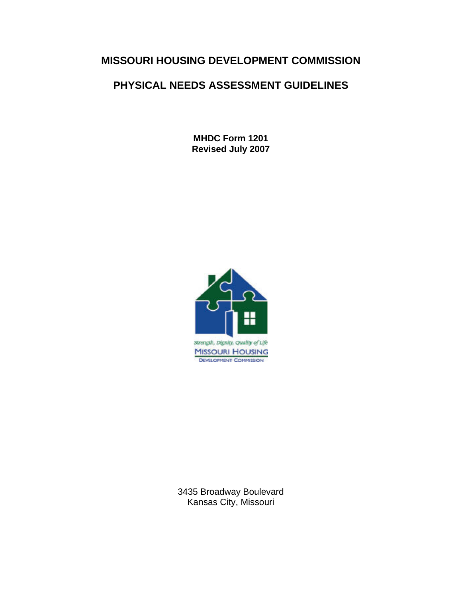# **MISSOURI HOUSING DEVELOPMENT COMMISSION**

# **PHYSICAL NEEDS ASSESSMENT GUIDELINES**

**MHDC Form 1201 Revised July 2007** 



3435 Broadway Boulevard Kansas City, Missouri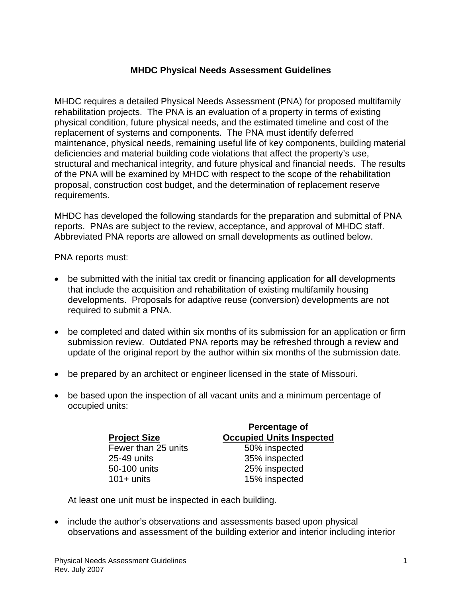### **MHDC Physical Needs Assessment Guidelines**

MHDC requires a detailed Physical Needs Assessment (PNA) for proposed multifamily rehabilitation projects. The PNA is an evaluation of a property in terms of existing physical condition, future physical needs, and the estimated timeline and cost of the replacement of systems and components. The PNA must identify deferred maintenance, physical needs, remaining useful life of key components, building material deficiencies and material building code violations that affect the property's use, structural and mechanical integrity, and future physical and financial needs. The results of the PNA will be examined by MHDC with respect to the scope of the rehabilitation proposal, construction cost budget, and the determination of replacement reserve requirements.

MHDC has developed the following standards for the preparation and submittal of PNA reports. PNAs are subject to the review, acceptance, and approval of MHDC staff. Abbreviated PNA reports are allowed on small developments as outlined below.

PNA reports must:

- be submitted with the initial tax credit or financing application for **all** developments that include the acquisition and rehabilitation of existing multifamily housing developments. Proposals for adaptive reuse (conversion) developments are not required to submit a PNA.
- be completed and dated within six months of its submission for an application or firm submission review. Outdated PNA reports may be refreshed through a review and update of the original report by the author within six months of the submission date.
- be prepared by an architect or engineer licensed in the state of Missouri.
- be based upon the inspection of all vacant units and a minimum percentage of occupied units:

| Percentage of<br><b>Occupied Units Inspected</b> |
|--------------------------------------------------|
| 50% inspected                                    |
| 35% inspected                                    |
| 25% inspected                                    |
| 15% inspected                                    |
|                                                  |

At least one unit must be inspected in each building.

• include the author's observations and assessments based upon physical observations and assessment of the building exterior and interior including interior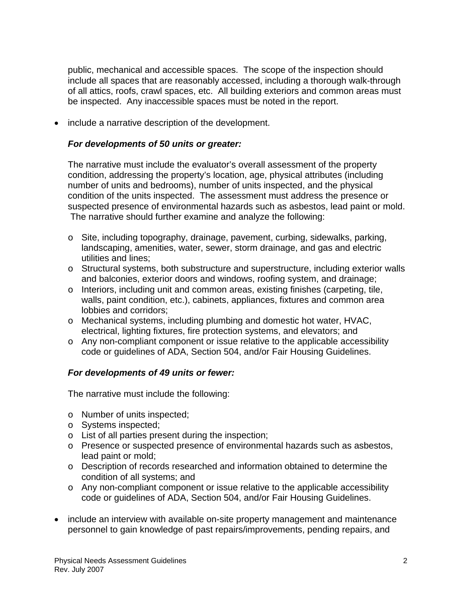public, mechanical and accessible spaces. The scope of the inspection should include all spaces that are reasonably accessed, including a thorough walk-through of all attics, roofs, crawl spaces, etc. All building exteriors and common areas must be inspected. Any inaccessible spaces must be noted in the report.

• include a narrative description of the development.

#### *For developments of 50 units or greater:*

The narrative must include the evaluator's overall assessment of the property condition, addressing the property's location, age, physical attributes (including number of units and bedrooms), number of units inspected, and the physical condition of the units inspected. The assessment must address the presence or suspected presence of environmental hazards such as asbestos, lead paint or mold. The narrative should further examine and analyze the following:

- o Site, including topography, drainage, pavement, curbing, sidewalks, parking, landscaping, amenities, water, sewer, storm drainage, and gas and electric utilities and lines;
- o Structural systems, both substructure and superstructure, including exterior walls and balconies, exterior doors and windows, roofing system, and drainage;
- o Interiors, including unit and common areas, existing finishes (carpeting, tile, walls, paint condition, etc.), cabinets, appliances, fixtures and common area lobbies and corridors;
- o Mechanical systems, including plumbing and domestic hot water, HVAC, electrical, lighting fixtures, fire protection systems, and elevators; and
- o Any non-compliant component or issue relative to the applicable accessibility code or guidelines of ADA, Section 504, and/or Fair Housing Guidelines.

### *For developments of 49 units or fewer:*

The narrative must include the following:

- o Number of units inspected;
- o Systems inspected;
- o List of all parties present during the inspection;
- o Presence or suspected presence of environmental hazards such as asbestos, lead paint or mold;
- o Description of records researched and information obtained to determine the condition of all systems; and
- o Any non-compliant component or issue relative to the applicable accessibility code or guidelines of ADA, Section 504, and/or Fair Housing Guidelines.
- include an interview with available on-site property management and maintenance personnel to gain knowledge of past repairs/improvements, pending repairs, and